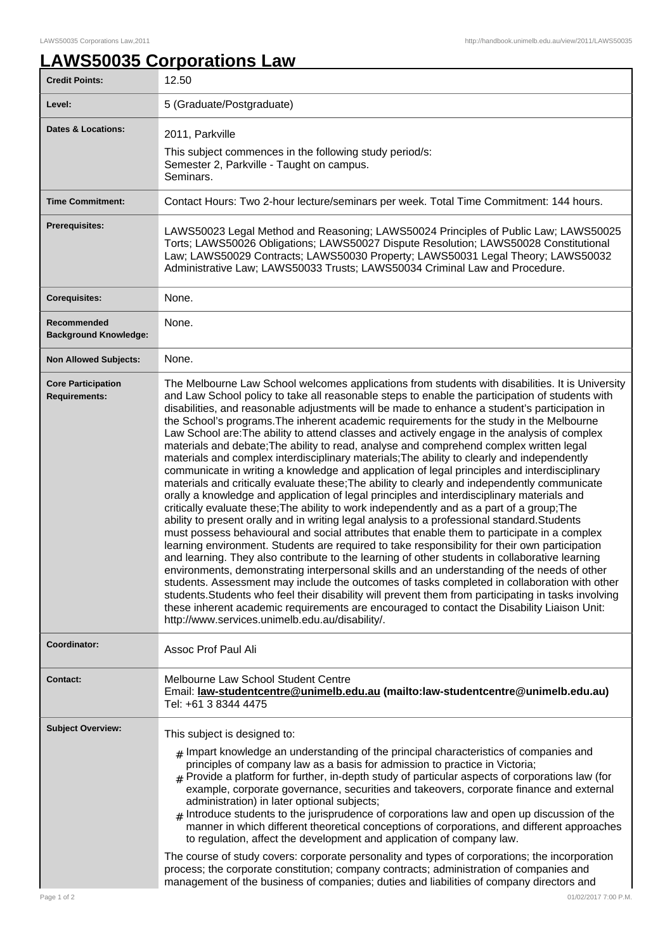## **LAWS50035 Corporations Law**

| <b>Credit Points:</b>                             | 12.50                                                                                                                                                                                                                                                                                                                                                                                                                                                                                                                                                                                                                                                                                                                                                                                                                                                                                                                                                                                                                                                                                                                                                                                                                                                                                                                                                                                                                                                                                                                                                                                                                                                                                                                                                                                                                                                                                                                                               |
|---------------------------------------------------|-----------------------------------------------------------------------------------------------------------------------------------------------------------------------------------------------------------------------------------------------------------------------------------------------------------------------------------------------------------------------------------------------------------------------------------------------------------------------------------------------------------------------------------------------------------------------------------------------------------------------------------------------------------------------------------------------------------------------------------------------------------------------------------------------------------------------------------------------------------------------------------------------------------------------------------------------------------------------------------------------------------------------------------------------------------------------------------------------------------------------------------------------------------------------------------------------------------------------------------------------------------------------------------------------------------------------------------------------------------------------------------------------------------------------------------------------------------------------------------------------------------------------------------------------------------------------------------------------------------------------------------------------------------------------------------------------------------------------------------------------------------------------------------------------------------------------------------------------------------------------------------------------------------------------------------------------------|
| Level:                                            | 5 (Graduate/Postgraduate)                                                                                                                                                                                                                                                                                                                                                                                                                                                                                                                                                                                                                                                                                                                                                                                                                                                                                                                                                                                                                                                                                                                                                                                                                                                                                                                                                                                                                                                                                                                                                                                                                                                                                                                                                                                                                                                                                                                           |
| <b>Dates &amp; Locations:</b>                     | 2011, Parkville<br>This subject commences in the following study period/s:<br>Semester 2, Parkville - Taught on campus.<br>Seminars.                                                                                                                                                                                                                                                                                                                                                                                                                                                                                                                                                                                                                                                                                                                                                                                                                                                                                                                                                                                                                                                                                                                                                                                                                                                                                                                                                                                                                                                                                                                                                                                                                                                                                                                                                                                                                |
| <b>Time Commitment:</b>                           | Contact Hours: Two 2-hour lecture/seminars per week. Total Time Commitment: 144 hours.                                                                                                                                                                                                                                                                                                                                                                                                                                                                                                                                                                                                                                                                                                                                                                                                                                                                                                                                                                                                                                                                                                                                                                                                                                                                                                                                                                                                                                                                                                                                                                                                                                                                                                                                                                                                                                                              |
| <b>Prerequisites:</b>                             | LAWS50023 Legal Method and Reasoning; LAWS50024 Principles of Public Law; LAWS50025<br>Torts; LAWS50026 Obligations; LAWS50027 Dispute Resolution; LAWS50028 Constitutional<br>Law; LAWS50029 Contracts; LAWS50030 Property; LAWS50031 Legal Theory; LAWS50032<br>Administrative Law; LAWS50033 Trusts; LAWS50034 Criminal Law and Procedure.                                                                                                                                                                                                                                                                                                                                                                                                                                                                                                                                                                                                                                                                                                                                                                                                                                                                                                                                                                                                                                                                                                                                                                                                                                                                                                                                                                                                                                                                                                                                                                                                       |
| <b>Corequisites:</b>                              | None.                                                                                                                                                                                                                                                                                                                                                                                                                                                                                                                                                                                                                                                                                                                                                                                                                                                                                                                                                                                                                                                                                                                                                                                                                                                                                                                                                                                                                                                                                                                                                                                                                                                                                                                                                                                                                                                                                                                                               |
| Recommended<br><b>Background Knowledge:</b>       | None.                                                                                                                                                                                                                                                                                                                                                                                                                                                                                                                                                                                                                                                                                                                                                                                                                                                                                                                                                                                                                                                                                                                                                                                                                                                                                                                                                                                                                                                                                                                                                                                                                                                                                                                                                                                                                                                                                                                                               |
| <b>Non Allowed Subjects:</b>                      | None.                                                                                                                                                                                                                                                                                                                                                                                                                                                                                                                                                                                                                                                                                                                                                                                                                                                                                                                                                                                                                                                                                                                                                                                                                                                                                                                                                                                                                                                                                                                                                                                                                                                                                                                                                                                                                                                                                                                                               |
| <b>Core Participation</b><br><b>Requirements:</b> | The Melbourne Law School welcomes applications from students with disabilities. It is University<br>and Law School policy to take all reasonable steps to enable the participation of students with<br>disabilities, and reasonable adjustments will be made to enhance a student's participation in<br>the School's programs. The inherent academic requirements for the study in the Melbourne<br>Law School are: The ability to attend classes and actively engage in the analysis of complex<br>materials and debate; The ability to read, analyse and comprehend complex written legal<br>materials and complex interdisciplinary materials; The ability to clearly and independently<br>communicate in writing a knowledge and application of legal principles and interdisciplinary<br>materials and critically evaluate these; The ability to clearly and independently communicate<br>orally a knowledge and application of legal principles and interdisciplinary materials and<br>critically evaluate these; The ability to work independently and as a part of a group; The<br>ability to present orally and in writing legal analysis to a professional standard. Students<br>must possess behavioural and social attributes that enable them to participate in a complex<br>learning environment. Students are required to take responsibility for their own participation<br>and learning. They also contribute to the learning of other students in collaborative learning<br>environments, demonstrating interpersonal skills and an understanding of the needs of other<br>students. Assessment may include the outcomes of tasks completed in collaboration with other<br>students. Students who feel their disability will prevent them from participating in tasks involving<br>these inherent academic requirements are encouraged to contact the Disability Liaison Unit:<br>http://www.services.unimelb.edu.au/disability/. |
| Coordinator:                                      | Assoc Prof Paul Ali                                                                                                                                                                                                                                                                                                                                                                                                                                                                                                                                                                                                                                                                                                                                                                                                                                                                                                                                                                                                                                                                                                                                                                                                                                                                                                                                                                                                                                                                                                                                                                                                                                                                                                                                                                                                                                                                                                                                 |
| <b>Contact:</b>                                   | Melbourne Law School Student Centre<br>Email: law-studentcentre@unimelb.edu.au (mailto:law-studentcentre@unimelb.edu.au)<br>Tel: +61 3 8344 4475                                                                                                                                                                                                                                                                                                                                                                                                                                                                                                                                                                                                                                                                                                                                                                                                                                                                                                                                                                                                                                                                                                                                                                                                                                                                                                                                                                                                                                                                                                                                                                                                                                                                                                                                                                                                    |
| <b>Subject Overview:</b>                          | This subject is designed to:<br>$#$ Impart knowledge an understanding of the principal characteristics of companies and<br>principles of company law as a basis for admission to practice in Victoria;<br>$#$ Provide a platform for further, in-depth study of particular aspects of corporations law (for<br>example, corporate governance, securities and takeovers, corporate finance and external<br>administration) in later optional subjects;<br>$#$ Introduce students to the jurisprudence of corporations law and open up discussion of the<br>manner in which different theoretical conceptions of corporations, and different approaches<br>to regulation, affect the development and application of company law.<br>The course of study covers: corporate personality and types of corporations; the incorporation<br>process; the corporate constitution; company contracts; administration of companies and<br>management of the business of companies; duties and liabilities of company directors and                                                                                                                                                                                                                                                                                                                                                                                                                                                                                                                                                                                                                                                                                                                                                                                                                                                                                                                             |